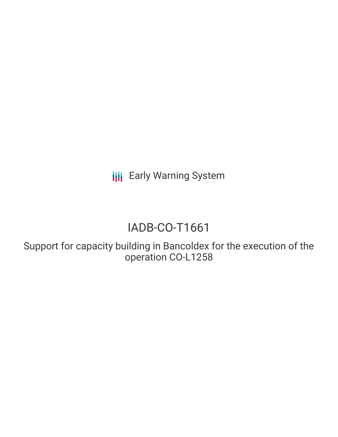**III** Early Warning System

# IADB-CO-T1661

Support for capacity building in Bancoldex for the execution of the operation CO-L1258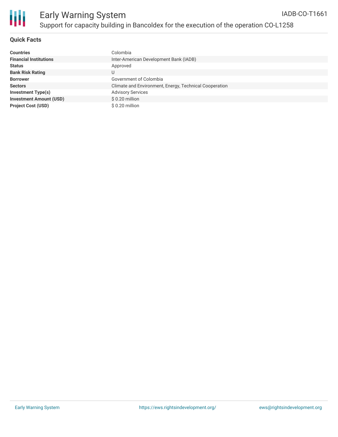

### **Quick Facts**

| <b>Countries</b>               | Colombia                                               |
|--------------------------------|--------------------------------------------------------|
| <b>Financial Institutions</b>  | Inter-American Development Bank (IADB)                 |
| <b>Status</b>                  | Approved                                               |
| <b>Bank Risk Rating</b>        | U                                                      |
| <b>Borrower</b>                | Government of Colombia                                 |
| <b>Sectors</b>                 | Climate and Environment, Energy, Technical Cooperation |
| Investment Type(s)             | <b>Advisory Services</b>                               |
| <b>Investment Amount (USD)</b> | $$0.20$ million                                        |
| <b>Project Cost (USD)</b>      | \$0.20 million                                         |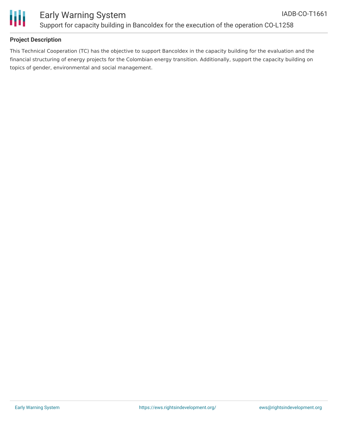

## **Project Description**

This Technical Cooperation (TC) has the objective to support Bancoldex in the capacity building for the evaluation and the financial structuring of energy projects for the Colombian energy transition. Additionally, support the capacity building on topics of gender, environmental and social management.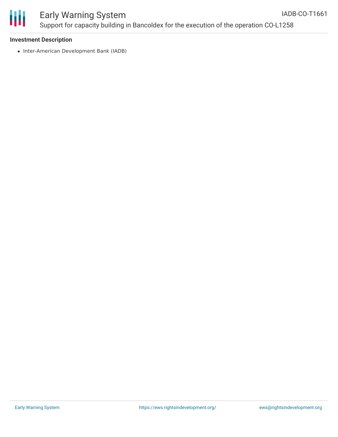

#### Early Warning System Support for capacity building in Bancoldex for the execution of the operation CO-L1258 IADB-CO-T1661

#### **Investment Description**

• Inter-American Development Bank (IADB)